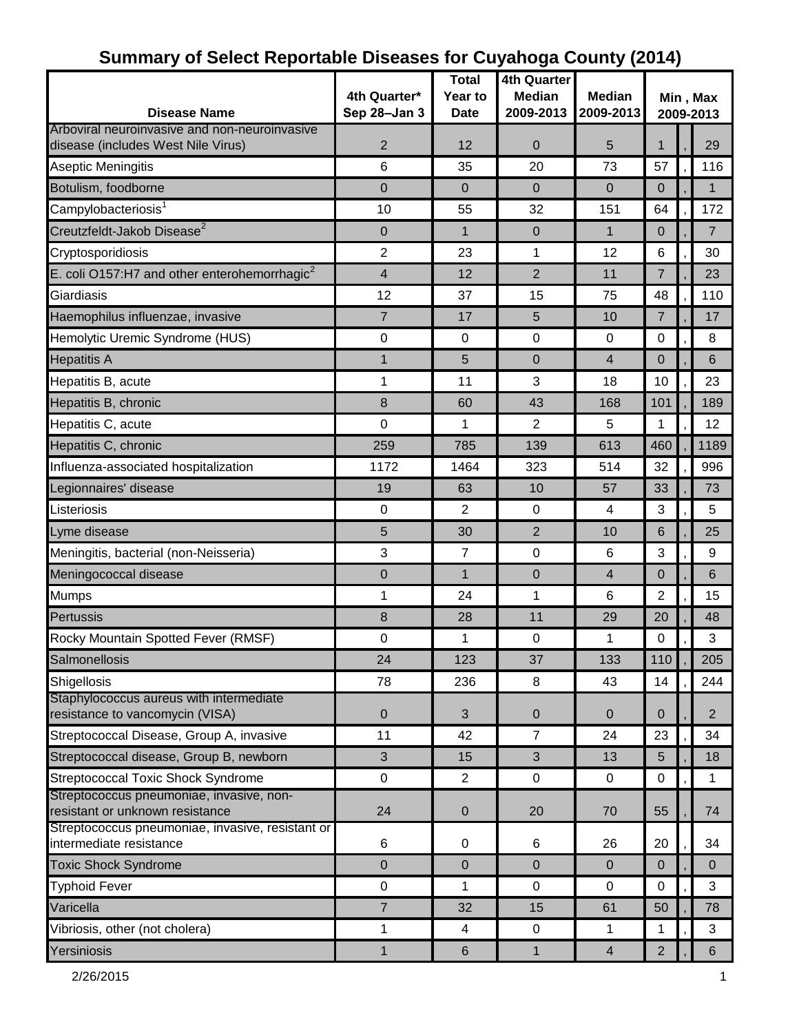| <b>Disease Name</b>                                                                 | 4th Quarter*<br>Sep 28-Jan 3 | <b>Total</b><br>Year to<br>Date | 4th Quarter<br><b>Median</b><br>2009-2013 | <b>Median</b><br>2009-2013    | Min, Max<br>2009-2013    |  |                     |
|-------------------------------------------------------------------------------------|------------------------------|---------------------------------|-------------------------------------------|-------------------------------|--------------------------|--|---------------------|
| Arboviral neuroinvasive and non-neuroinvasive<br>disease (includes West Nile Virus) | $\overline{2}$               | 12                              | 0                                         | 5                             | 1                        |  | 29                  |
| Aseptic Meningitis                                                                  | 6                            | 35                              | 20                                        | 73                            | 57                       |  | 116                 |
| Botulism, foodborne                                                                 | $\mathbf 0$                  | $\mathbf 0$                     | $\mathbf 0$                               | $\mathbf 0$                   | 0                        |  | $\mathbf{1}$        |
| Campylobacteriosis <sup>1</sup>                                                     | 10                           | 55                              | 32                                        | 151                           | 64                       |  | 172                 |
| Creutzfeldt-Jakob Disease <sup>2</sup>                                              | $\mathbf 0$                  | $\mathbf{1}$                    | $\mathbf 0$                               | $\mathbf 1$                   | 0                        |  | $\overline{7}$      |
| Cryptosporidiosis                                                                   | $\overline{2}$               | 23                              | 1                                         | 12                            | 6                        |  | 30                  |
| E. coli O157:H7 and other enterohemorrhagic $^2$                                    | $\overline{4}$               | 12                              | $\overline{2}$                            | 11                            | 7                        |  | 23                  |
| Giardiasis                                                                          | 12                           | 37                              | 15                                        | 75                            | 48                       |  | 110                 |
| Haemophilus influenzae, invasive                                                    | 7                            | 17                              | 5                                         | 10                            | $\overline{7}$           |  | 17                  |
| Hemolytic Uremic Syndrome (HUS)                                                     | $\mathbf 0$                  | $\mathbf 0$                     | 0                                         | $\mathbf 0$                   | 0                        |  | 8                   |
| <b>Hepatitis A</b>                                                                  | 1                            | 5                               | $\mathbf 0$                               | $\overline{4}$                | 0                        |  | 6                   |
| Hepatitis B, acute                                                                  | 1                            | 11                              | 3                                         | 18                            | 10                       |  | 23                  |
| Hepatitis B, chronic                                                                | 8                            | 60                              | 43                                        | 168                           | 101                      |  | 189                 |
| Hepatitis C, acute                                                                  | $\overline{0}$               | 1                               | 2                                         | 5                             | 1                        |  | 12                  |
| Hepatitis C, chronic                                                                | 259                          | 785                             | 139                                       | 613                           | 460                      |  | 1189                |
| Influenza-associated hospitalization                                                | 1172                         | 1464                            | 323                                       | 514                           | 32                       |  | 996                 |
| Legionnaires' disease                                                               | 19                           | 63                              | 10                                        | 57                            | 33                       |  | 73                  |
| Listeriosis                                                                         | 0                            | 2                               | 0                                         | 4                             | 3                        |  | 5                   |
| Lyme disease                                                                        | 5                            | 30                              | $\overline{2}$                            | 10                            | 6                        |  | 25                  |
| Meningitis, bacterial (non-Neisseria)                                               | 3                            | $\overline{7}$                  | $\pmb{0}$                                 | 6                             | 3                        |  | 9                   |
| Meningococcal disease                                                               | $\overline{0}$               | $\mathbf{1}$                    | 0                                         | 4                             | 0                        |  | 6                   |
| <b>Mumps</b>                                                                        | 1                            | 24                              | 1                                         | 6                             | 2                        |  | 15                  |
| Pertussis                                                                           | 8                            | 28                              | 11                                        | 29                            | 20                       |  | 48                  |
| Rocky Mountain Spotted Fever (RMSF)                                                 | 0                            | 1                               | 0                                         | 1                             | 0                        |  | 3                   |
| Salmonellosis                                                                       | 24                           | 123                             | 37                                        | 133                           | 110                      |  | 205                 |
| Shigellosis                                                                         | 78                           | 236                             | 8                                         | 43                            | 14                       |  | 244                 |
| Staphylococcus aureus with intermediate<br>resistance to vancomycin (VISA)          | $\mathbf 0$                  | 3                               | 0                                         | 0                             | 0                        |  | $\overline{2}$      |
| Streptococcal Disease, Group A, invasive                                            | 11                           | 42                              | $\overline{7}$                            | 24                            | 23                       |  | 34                  |
| Streptococcal disease, Group B, newborn                                             | 3                            | 15                              | 3                                         | 13                            | 5                        |  | 18                  |
| <b>Streptococcal Toxic Shock Syndrome</b>                                           | $\mathbf 0$                  | $\overline{2}$                  | 0                                         | $\mathbf 0$                   | 0                        |  | 1                   |
| Streptococcus pneumoniae, invasive, non-<br>resistant or unknown resistance         | 24                           | $\mathbf 0$                     | 20                                        | 70                            | 55                       |  | 74                  |
| Streptococcus pneumoniae, invasive, resistant or<br>intermediate resistance         | 6                            | 0                               | 6                                         | 26                            | 20                       |  | 34                  |
|                                                                                     | $\mathbf 0$                  |                                 | $\mathbf 0$                               |                               |                          |  |                     |
| <b>Toxic Shock Syndrome</b><br><b>Typhoid Fever</b>                                 | $\pmb{0}$                    | $\overline{0}$                  | $\pmb{0}$                                 | $\overline{0}$<br>$\mathbf 0$ | $\pmb{0}$<br>$\mathbf 0$ |  | $\overline{0}$<br>3 |
| Varicella                                                                           |                              | 1                               |                                           |                               |                          |  |                     |
|                                                                                     | $\overline{7}$               | 32                              | 15                                        | 61                            | 50                       |  | 78                  |
| Vibriosis, other (not cholera)                                                      | 1                            | $\overline{4}$                  | 0                                         | 1                             | 1                        |  | 3                   |
| Yersiniosis                                                                         | 1                            | $\,6\,$                         | $\mathbf{1}$                              | $\overline{\mathcal{A}}$      | $\overline{2}$           |  | 6                   |

# **Summary of Select Reportable Diseases for Cuyahoga County (2014)**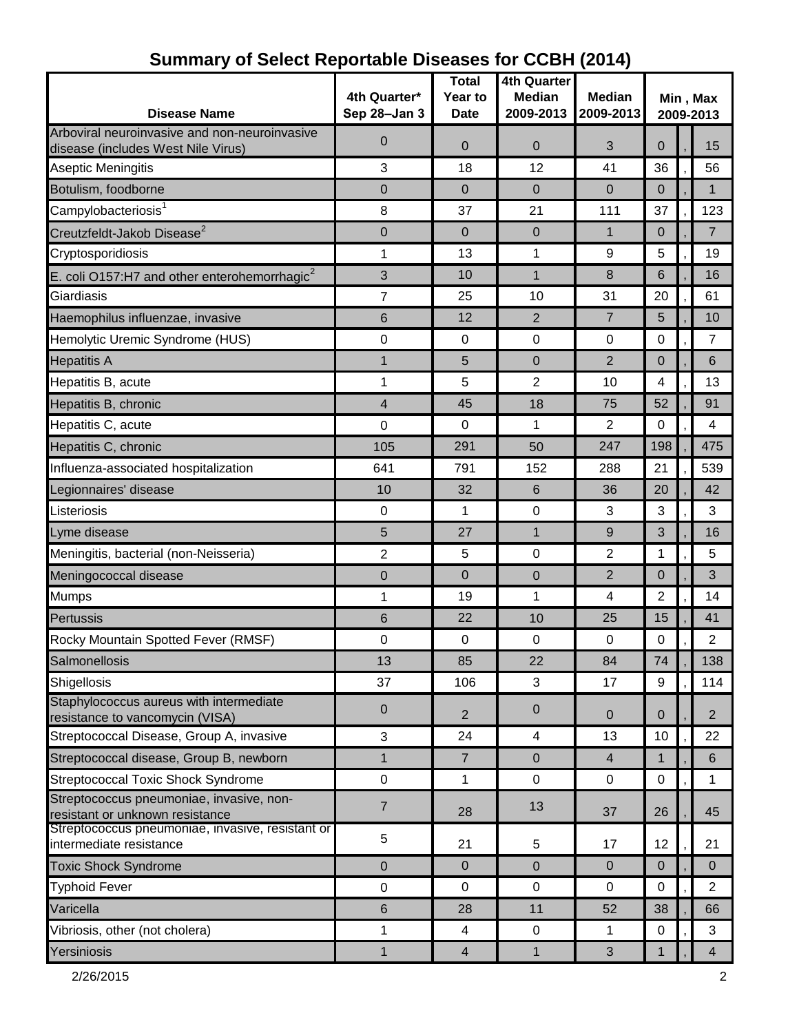| <b>Disease Name</b>                                                                 | 4th Quarter*<br>Sep 28-Jan 3 | <b>Total</b><br>Year to<br>Date | 4th Quarter<br><b>Median</b><br>2009-2013 | <b>Median</b><br>2009-2013 | Min, Max<br>2009-2013 |  |                |
|-------------------------------------------------------------------------------------|------------------------------|---------------------------------|-------------------------------------------|----------------------------|-----------------------|--|----------------|
| Arboviral neuroinvasive and non-neuroinvasive<br>disease (includes West Nile Virus) | $\mathbf 0$                  | $\Omega$                        | $\overline{0}$                            | 3                          | $\mathbf 0$           |  | 15             |
| Aseptic Meningitis                                                                  | 3                            | 18                              | 12                                        | 41                         | 36                    |  | 56             |
| Botulism, foodborne                                                                 | 0                            | 0                               | $\mathbf 0$                               | $\overline{0}$             | $\mathbf 0$           |  | 1              |
| Campylobacteriosis                                                                  | 8                            | 37                              | 21                                        | 111                        | 37                    |  | 123            |
| Creutzfeldt-Jakob Disease <sup>2</sup>                                              | $\mathbf 0$                  | $\overline{0}$                  | $\overline{0}$                            | 1                          | $\mathbf 0$           |  | $\overline{7}$ |
| Cryptosporidiosis                                                                   | 1                            | 13                              | 1                                         | 9                          | 5                     |  | 19             |
| E. coli O157:H7 and other enterohemorrhagic $2$                                     | 3                            | 10                              | $\mathbf{1}$                              | 8                          | 6                     |  | 16             |
| Giardiasis                                                                          | $\overline{7}$               | 25                              | 10                                        | 31                         | 20                    |  | 61             |
| Haemophilus influenzae, invasive                                                    | 6                            | 12                              | 2                                         | $\overline{7}$             | 5                     |  | 10             |
| Hemolytic Uremic Syndrome (HUS)                                                     | $\mathbf 0$                  | 0                               | $\mathbf 0$                               | $\mathbf 0$                | 0                     |  | $\overline{7}$ |
| <b>Hepatitis A</b>                                                                  | 1                            | 5                               | $\overline{0}$                            | $\overline{2}$             | $\mathbf 0$           |  | 6              |
| Hepatitis B, acute                                                                  | 1                            | 5                               | 2                                         | 10                         | 4                     |  | 13             |
| Hepatitis B, chronic                                                                | 4                            | 45                              | 18                                        | 75                         | 52                    |  | 91             |
| Hepatitis C, acute                                                                  | $\mathbf 0$                  | 0                               | 1                                         | $\overline{2}$             | 0                     |  | 4              |
| Hepatitis C, chronic                                                                | 105                          | 291                             | 50                                        | 247                        | 198                   |  | 475            |
| Influenza-associated hospitalization                                                | 641                          | 791                             | 152                                       | 288                        | 21                    |  | 539            |
| Legionnaires' disease                                                               | 10                           | 32                              | 6                                         | 36                         | 20                    |  | 42             |
| Listeriosis                                                                         | 0                            | 1                               | $\mathbf 0$                               | 3                          | 3                     |  | 3              |
| Lyme disease                                                                        | 5                            | 27                              | $\mathbf{1}$                              | 9                          | 3                     |  | 16             |
| Meningitis, bacterial (non-Neisseria)                                               | 2                            | 5                               | 0                                         | 2                          | 1                     |  | 5              |
| Meningococcal disease                                                               | $\Omega$                     | $\overline{0}$                  | $\overline{0}$                            | $\overline{2}$             | $\Omega$              |  | 3              |
| <b>Mumps</b>                                                                        | 1                            | 19                              | 1                                         | 4                          | $\overline{2}$        |  | 14             |
| Pertussis                                                                           | 6                            | 22                              | 10                                        | 25                         | 15                    |  | 41             |
| Rocky Mountain Spotted Fever (RMSF)                                                 | 0                            | 0                               | 0                                         | 0                          | 0                     |  | $\overline{2}$ |
| Salmonellosis                                                                       | 13                           | 85                              | 22                                        | 84                         | 74                    |  | 138            |
| Shigellosis                                                                         | 37                           | 106                             | 3                                         | 17                         | 9                     |  | 114            |
| Staphylococcus aureus with intermediate<br>resistance to vancomycin (VISA)          | $\boldsymbol{0}$             | 2                               | $\pmb{0}$                                 | $\mathbf{0}$               | $\overline{0}$        |  | $\overline{2}$ |
| Streptococcal Disease, Group A, invasive                                            | 3                            | 24                              | 4                                         | 13                         | 10                    |  | 22             |
| Streptococcal disease, Group B, newborn                                             | $\mathbf{1}$                 | $\overline{7}$                  | $\mathbf{0}$                              | $\overline{4}$             | $\mathbf{1}$          |  | 6              |
| <b>Streptococcal Toxic Shock Syndrome</b>                                           | $\mathbf 0$                  | 1                               | $\mathsf 0$                               | $\mathbf 0$                | $\mathbf 0$           |  | 1              |
| Streptococcus pneumoniae, invasive, non-<br>resistant or unknown resistance         | $\overline{7}$               | 28                              | 13                                        | 37                         | 26                    |  | 45             |
| Streptococcus pneumoniae, invasive, resistant or<br>intermediate resistance         | 5                            | 21                              | 5                                         | 17                         | 12                    |  | 21             |
| <b>Toxic Shock Syndrome</b>                                                         | $\mathbf 0$                  | 0                               | $\mathbf 0$                               | $\overline{0}$             | $\mathbf 0$           |  | $\mathbf{0}$   |
| <b>Typhoid Fever</b>                                                                | $\mathbf 0$                  | 0                               | 0                                         | $\mathbf 0$                | 0                     |  | $\overline{2}$ |
| Varicella                                                                           | 6                            | 28                              | 11                                        | 52                         | 38                    |  | 66             |
| Vibriosis, other (not cholera)                                                      | 1                            | 4                               | $\mathbf 0$                               | 1                          | 0                     |  | 3              |
| Yersiniosis                                                                         | $\mathbf{1}$                 | $\overline{4}$                  | $\mathbf{1}$                              | 3                          | $\mathbf{1}$          |  | $\overline{4}$ |

# **Summary of Select Reportable Diseases for CCBH (2014)**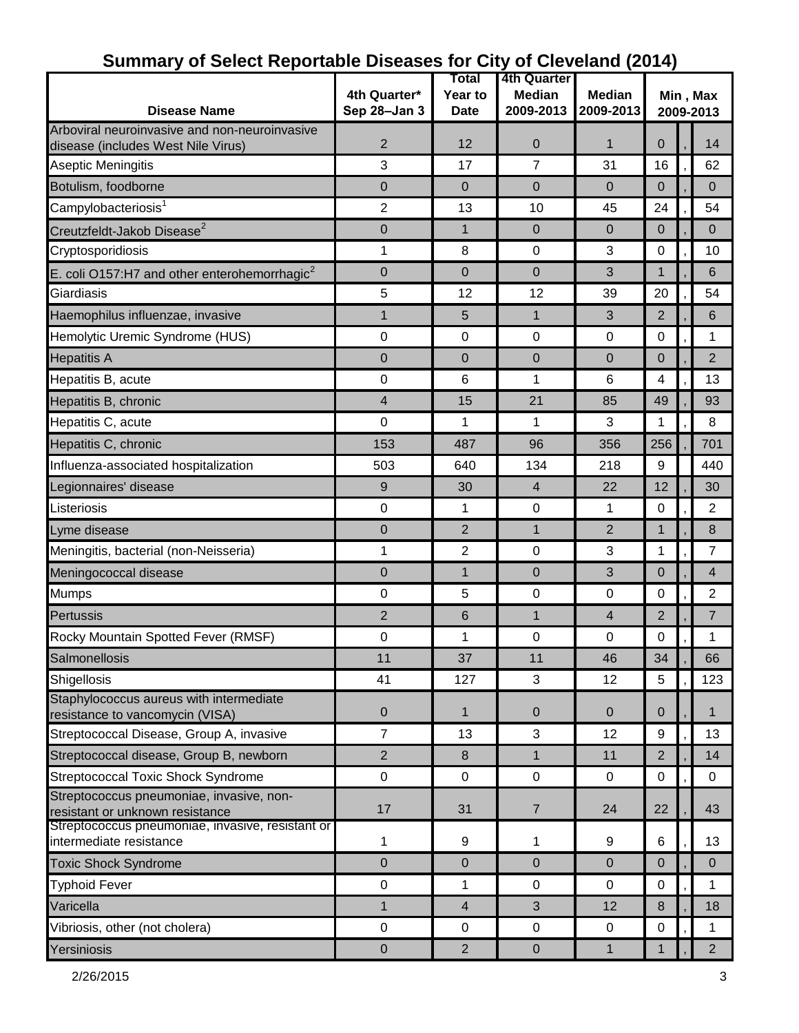|                                                                                     |                | Total          | 4th Quarter    |                |                       |  |                |
|-------------------------------------------------------------------------------------|----------------|----------------|----------------|----------------|-----------------------|--|----------------|
|                                                                                     | 4th Quarter*   | Year to        | <b>Median</b>  | <b>Median</b>  | Min, Max<br>2009-2013 |  |                |
| <b>Disease Name</b>                                                                 | Sep 28-Jan 3   | <b>Date</b>    | 2009-2013      | 2009-2013      |                       |  |                |
| Arboviral neuroinvasive and non-neuroinvasive<br>disease (includes West Nile Virus) | $\overline{2}$ | 12             | 0              | 1              | 0                     |  | 14             |
| <b>Aseptic Meningitis</b>                                                           | 3              | 17             | 7              | 31             | 16                    |  | 62             |
| Botulism, foodborne                                                                 | 0              | $\Omega$       | $\mathbf 0$    | $\overline{0}$ | $\mathbf 0$           |  | $\mathbf{0}$   |
| Campylobacteriosis <sup>1</sup>                                                     | 2              | 13             | 10             | 45             | 24                    |  | 54             |
| Creutzfeldt-Jakob Disease <sup>2</sup>                                              | $\mathbf 0$    | $\mathbf{1}$   | $\Omega$       | $\Omega$       | $\Omega$              |  | $\Omega$       |
| Cryptosporidiosis                                                                   | 1              | 8              | $\mathbf 0$    | 3              | 0                     |  | 10             |
| E. coli O157:H7 and other enterohemorrhagic $2$                                     | $\mathbf 0$    | $\overline{0}$ | $\mathbf 0$    | 3              | $\mathbf{1}$          |  | 6              |
| Giardiasis                                                                          | 5              | 12             | 12             | 39             | 20                    |  | 54             |
| Haemophilus influenzae, invasive                                                    | 1              | 5              | $\mathbf{1}$   | 3              | $\overline{2}$        |  | 6              |
| Hemolytic Uremic Syndrome (HUS)                                                     | 0              | 0              | 0              | 0              | 0                     |  | 1              |
| <b>Hepatitis A</b>                                                                  | $\mathbf 0$    | $\Omega$       | 0              | 0              | $\Omega$              |  | $\overline{2}$ |
| Hepatitis B, acute                                                                  | 0              | 6              | 1              | 6              | 4                     |  | 13             |
| Hepatitis B, chronic                                                                | 4              | 15             | 21             | 85             | 49                    |  | 93             |
| Hepatitis C, acute                                                                  | 0              | 1              | 1              | 3              | 1                     |  | 8              |
| Hepatitis C, chronic                                                                | 153            | 487            | 96             | 356            | 256                   |  | 701            |
| Influenza-associated hospitalization                                                | 503            | 640            | 134            | 218            | 9                     |  | 440            |
| Legionnaires' disease                                                               | 9              | 30             | $\overline{4}$ | 22             | 12                    |  | 30             |
| Listeriosis                                                                         | 0              | 1              | 0              | 1              | $\pmb{0}$             |  | 2              |
| Lyme disease                                                                        | 0              | 2              | $\mathbf 1$    | 2              | $\mathbf{1}$          |  | 8              |
| Meningitis, bacterial (non-Neisseria)                                               | 1              | 2              | 0              | 3              | 1                     |  | $\overline{7}$ |
| Meningococcal disease                                                               | $\mathbf 0$    | $\mathbf{1}$   | $\mathbf 0$    | 3              | $\Omega$              |  | 4              |
| <b>Mumps</b>                                                                        | 0              | 5              | 0              | 0              | 0                     |  | $\overline{2}$ |
| Pertussis                                                                           | 2              | 6              | $\mathbf 1$    | $\overline{4}$ | 2                     |  | 7              |
| Rocky Mountain Spotted Fever (RMSF)                                                 | 0              | 1              | 0              | 0              | 0                     |  | 1              |
| Salmonellosis                                                                       | 11             | 37             | 11             | 46             | 34                    |  | 66             |
| Shigellosis                                                                         | 41             | 127            | 3              | 12             | $5\phantom{.0}$       |  | 123            |
| Staphylococcus aureus with intermediate<br>resistance to vancomycin (VISA)          | $\mathbf 0$    | 1              | $\pmb{0}$      | $\mathbf{0}$   | $\overline{0}$        |  | 1              |
| Streptococcal Disease, Group A, invasive                                            | $\overline{7}$ | 13             | 3              | 12             | 9                     |  | 13             |
| Streptococcal disease, Group B, newborn                                             | $\overline{2}$ | 8              | $\mathbf{1}$   | 11             | $\overline{2}$        |  | 14             |
| Streptococcal Toxic Shock Syndrome                                                  | $\pmb{0}$      | $\mathbf 0$    | $\pmb{0}$      | $\mathbf 0$    | $\mathbf 0$           |  | $\mathbf 0$    |
| Streptococcus pneumoniae, invasive, non-<br>resistant or unknown resistance         | 17             | 31             | $\overline{7}$ | 24             | 22                    |  | 43             |
| Streptococcus pneumoniae, invasive, resistant or<br>intermediate resistance         | 1              | 9              | 1              | 9              | 6                     |  | 13             |
| <b>Toxic Shock Syndrome</b>                                                         | $\mathbf 0$    | $\overline{0}$ | $\mathbf 0$    | $\mathbf 0$    | $\Omega$              |  | $\Omega$       |
| <b>Typhoid Fever</b>                                                                | $\pmb{0}$      | $\mathbf{1}$   | $\pmb{0}$      | $\pmb{0}$      | 0                     |  | 1              |
| Varicella                                                                           | 1              | $\overline{4}$ | 3              | 12             | 8                     |  | 18             |
| Vibriosis, other (not cholera)                                                      | $\mathbf 0$    | $\mathbf 0$    | 0              | 0              | $\mathbf 0$           |  | 1              |
| Yersiniosis                                                                         | $\pmb{0}$      | $\overline{2}$ | $\pmb{0}$      | $\mathbf{1}$   | $\mathbf{1}$          |  | $2^{\circ}$    |

### **Summary of Select Reportable Diseases for City of Cleveland (2014)**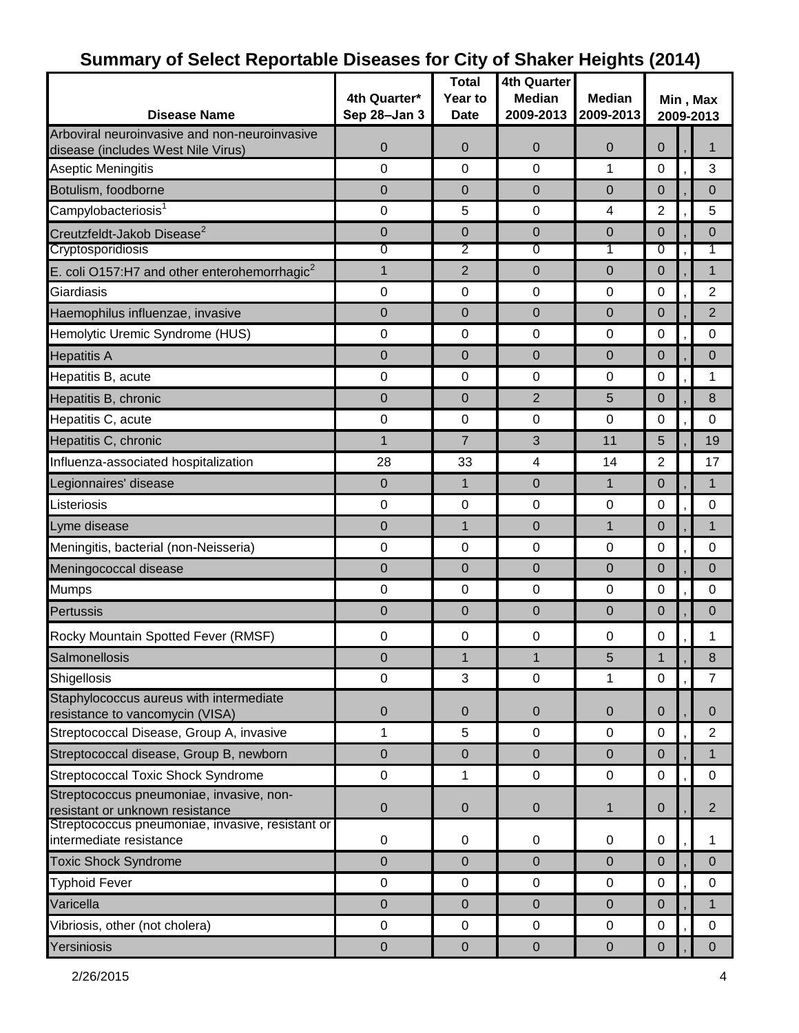| <b>Disease Name</b>                                                         | 4th Quarter*<br>Sep 28-Jan 3 | <b>Total</b><br>Year to<br><b>Date</b> | <b>4th Quarter</b><br><b>Median</b><br>2009-2013 | <b>Median</b><br>2009-2013    | Min, Max<br>2009-2013 |  |                |
|-----------------------------------------------------------------------------|------------------------------|----------------------------------------|--------------------------------------------------|-------------------------------|-----------------------|--|----------------|
| Arboviral neuroinvasive and non-neuroinvasive                               |                              |                                        |                                                  |                               |                       |  |                |
| disease (includes West Nile Virus)                                          | 0                            | 0                                      | $\mathbf 0$                                      | $\overline{0}$                | 0                     |  |                |
| Aseptic Meningitis                                                          | 0                            | $\mathbf 0$                            | 0                                                | 1                             | 0                     |  | 3              |
| Botulism, foodborne                                                         | 0                            | 0                                      | $\mathbf 0$                                      | $\overline{0}$                | 0                     |  | $\mathbf 0$    |
| Campylobacteriosis <sup>1</sup>                                             | 0                            | 5                                      | 0                                                | 4                             | $\overline{2}$        |  | 5              |
| Creutzfeldt-Jakob Disease <sup>2</sup><br>Cryptosporidiosis                 | 0                            | 0<br>2                                 | $\mathbf 0$<br>0                                 | $\overline{0}$                | 0<br>0                |  | $\Omega$       |
|                                                                             | 0                            | $\overline{2}$                         |                                                  | 1                             |                       |  | 1              |
| E. coli O157:H7 and other enterohemorrhagic <sup>2</sup><br>Giardiasis      | 1<br>$\mathbf 0$             | $\mathbf 0$                            | $\mathbf 0$<br>0                                 | $\overline{0}$<br>$\mathbf 0$ | 0<br>0                |  | 1<br>2         |
|                                                                             |                              |                                        |                                                  |                               |                       |  |                |
| Haemophilus influenzae, invasive                                            | 0                            | 0                                      | $\overline{0}$                                   | $\overline{0}$                | 0                     |  | $\overline{2}$ |
| Hemolytic Uremic Syndrome (HUS)                                             | $\mathbf 0$                  | 0                                      | 0                                                | 0                             | 0                     |  | 0              |
| <b>Hepatitis A</b>                                                          | 0                            | $\overline{0}$                         | $\overline{0}$                                   | $\Omega$                      | $\mathbf 0$           |  | $\Omega$       |
| Hepatitis B, acute                                                          | $\pmb{0}$                    | $\pmb{0}$                              | $\pmb{0}$                                        | $\pmb{0}$                     | $\pmb{0}$             |  | 1              |
| Hepatitis B, chronic                                                        | 0                            | $\mathbf 0$                            | $\overline{2}$                                   | 5                             | 0                     |  | 8              |
| Hepatitis C, acute                                                          | 0                            | $\mathbf 0$                            | 0                                                | 0                             | 0                     |  | 0              |
| Hepatitis C, chronic                                                        | 1                            | $\overline{7}$                         | 3                                                | 11                            | 5                     |  | 19             |
| Influenza-associated hospitalization                                        | 28                           | 33                                     | 4                                                | 14                            | $\overline{2}$        |  | 17             |
| Legionnaires' disease                                                       | 0                            | $\mathbf 1$                            | $\Omega$                                         | $\mathbf{1}$                  | 0                     |  | 1              |
| Listeriosis                                                                 | 0                            | $\mathbf 0$                            | 0                                                | $\mathbf 0$                   | 0                     |  | $\mathbf 0$    |
| Lyme disease                                                                | 0                            | $\mathbf{1}$                           | $\mathbf 0$                                      | 1                             | 0                     |  | 1              |
| Meningitis, bacterial (non-Neisseria)                                       | $\mathbf 0$                  | $\mathbf 0$                            | 0                                                | 0                             | 0                     |  | 0              |
| Meningococcal disease                                                       | 0                            | $\mathbf 0$                            | $\mathbf 0$                                      | $\overline{0}$                | 0                     |  | $\mathbf 0$    |
| Mumps                                                                       | 0                            | $\mathbf 0$                            | 0                                                | $\mathbf 0$                   | 0                     |  | $\Omega$       |
| <b>Pertussis</b>                                                            | 0                            | $\mathbf 0$                            | $\mathbf 0$                                      | $\overline{0}$                | 0                     |  | $\mathbf 0$    |
| Rocky Mountain Spotted Fever (RMSF)                                         | 0                            | 0                                      | 0                                                | 0                             | 0                     |  |                |
| Salmonellosis                                                               | 0                            |                                        | 1                                                | 5                             | 1                     |  | 8              |
| Shigellosis                                                                 | $\mathbf 0$                  | 3                                      | $\mathbf 0$                                      | 1                             | $\mathbf 0$           |  | 7              |
| Staphylococcus aureus with intermediate<br>resistance to vancomycin (VISA)  | $\overline{0}$               | $\mathbf{0}$                           | $\mathbf{0}$                                     | $\mathbf{0}$                  | 0                     |  | $\Omega$       |
| Streptococcal Disease, Group A, invasive                                    | 1                            | 5                                      | 0                                                | 0                             | $\mathbf 0$           |  | $\overline{2}$ |
| Streptococcal disease, Group B, newborn                                     | 0                            | $\pmb{0}$                              | $\mathbf 0$                                      | $\mathbf 0$                   | $\mathbf 0$           |  | $\mathbf{1}$   |
| <b>Streptococcal Toxic Shock Syndrome</b>                                   | $\pmb{0}$                    | 1                                      | $\pmb{0}$                                        | $\pmb{0}$                     | 0                     |  | $\mathbf 0$    |
| Streptococcus pneumoniae, invasive, non-<br>resistant or unknown resistance | 0                            | $\pmb{0}$                              | $\pmb{0}$                                        | $\mathbf{1}$                  | $\pmb{0}$             |  | $\overline{2}$ |
| Streptococcus pneumoniae, invasive, resistant or<br>intermediate resistance | $\mathbf 0$                  | 0                                      | 0                                                | 0                             | 0                     |  | 1              |
| <b>Toxic Shock Syndrome</b>                                                 | 0                            | $\pmb{0}$                              | $\pmb{0}$                                        | $\pmb{0}$                     | $\pmb{0}$             |  | $\mathbf 0$    |
| <b>Typhoid Fever</b>                                                        | $\pmb{0}$                    | $\pmb{0}$                              | 0                                                | 0                             | 0                     |  | 0              |
| Varicella                                                                   | 0                            | $\pmb{0}$                              | $\pmb{0}$                                        | $\pmb{0}$                     | 0                     |  | 1              |
| Vibriosis, other (not cholera)                                              | $\mathbf 0$                  | $\pmb{0}$                              | $\mathbf 0$                                      | 0                             | $\mathbf 0$           |  | 0              |
| Yersiniosis                                                                 | 0                            | $\pmb{0}$                              | $\pmb{0}$                                        | $\pmb{0}$                     | 0                     |  | $\Omega$       |

### **Summary of Select Reportable Diseases for City of Shaker Heights (2014)**